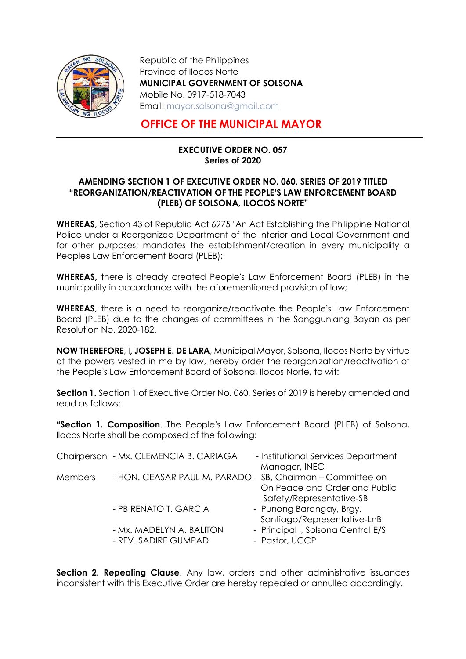

-

Republic of the Philippines Province of Ilocos Norte MUNICIPAL GOVERNMENT OF SOLSONA Mobile No. 0917-518-7043 Email: mayor.solsona@gmail.com

## OFFICE OF THE MUNICIPAL MAYOR

## EXECUTIVE ORDER NO. 057 Series of 2020

## AMENDING SECTION 1 OF EXECUTIVE ORDER NO. 060, SERIES OF 2019 TITLED "REORGANIZATION/REACTIVATION OF THE PEOPLE'S LAW ENFORCEMENT BOARD (PLEB) OF SOLSONA, ILOCOS NORTE"

WHEREAS, Section 43 of Republic Act 6975 "An Act Establishing the Philippine National Police under a Reorganized Department of the Interior and Local Government and for other purposes; mandates the establishment/creation in every municipality a Peoples Law Enforcement Board (PLEB);

WHEREAS, there is already created People's Law Enforcement Board (PLEB) in the municipality in accordance with the aforementioned provision of law;

WHEREAS, there is a need to reorganize/reactivate the People's Law Enforcement Board (PLEB) due to the changes of committees in the Sangguniang Bayan as per Resolution No. 2020-182.

NOW THEREFORE, I, JOSEPH E. DE LARA, Municipal Mayor, Solsona, Ilocos Norte by virtue of the powers vested in me by law, hereby order the reorganization/reactivation of the People's Law Enforcement Board of Solsona, Ilocos Norte, to wit:

**Section 1.** Section 1 of Executive Order No. 060, Series of 2019 is hereby amended and read as follows:

"Section 1. Composition. The People's Law Enforcement Board (PLEB) of Solsona, Ilocos Norte shall be composed of the following:

|                | Chairperson - Mx. CLEMENCIA B. CARIAGA                     | - Institutional Services Department |
|----------------|------------------------------------------------------------|-------------------------------------|
|                |                                                            | Manager, INEC                       |
| <b>Members</b> | - HON. CEASAR PAUL M. PARADO - SB, Chairman - Committee on |                                     |
|                |                                                            | On Peace and Order and Public       |
|                |                                                            | Safety/Representative-SB            |
|                | - PB RENATO T. GARCIA                                      | - Punong Barangay, Brgy.            |
|                |                                                            | Santiago/Representative-LnB         |
|                | - Mx. MADELYN A. BALITON                                   | - Principal I, Solsona Central E/S  |
|                | - REV. SADIRE GUMPAD                                       | - Pastor, UCCP                      |
|                |                                                            |                                     |

Section 2. Repealing Clause. Any law, orders and other administrative issuances inconsistent with this Executive Order are hereby repealed or annulled accordingly.